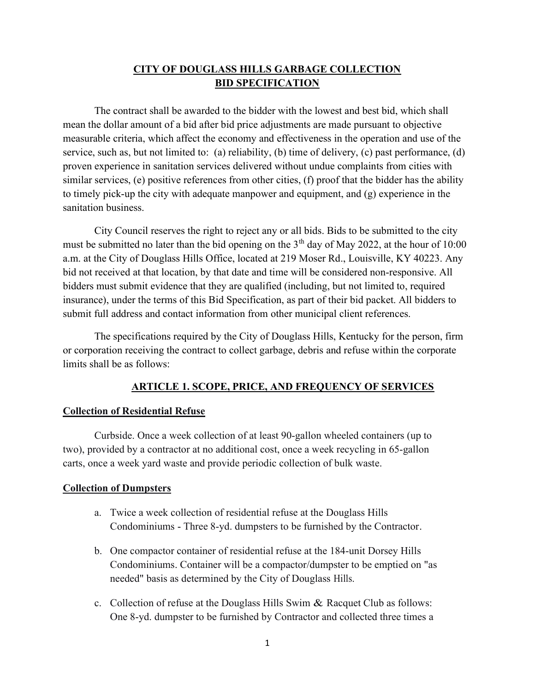# CITY OF DOUGLASS HILLS GARBAGE COLLECTION BID SPECIFICATION

The contract shall be awarded to the bidder with the lowest and best bid, which shall mean the dollar amount of a bid after bid price adjustments are made pursuant to objective measurable criteria, which affect the economy and effectiveness in the operation and use of the service, such as, but not limited to: (a) reliability, (b) time of delivery, (c) past performance, (d) proven experience in sanitation services delivered without undue complaints from cities with similar services, (e) positive references from other cities, (f) proof that the bidder has the ability to timely pick-up the city with adequate manpower and equipment, and (g) experience in the sanitation business.

 City Council reserves the right to reject any or all bids. Bids to be submitted to the city must be submitted no later than the bid opening on the  $3<sup>th</sup>$  day of May 2022, at the hour of 10:00 a.m. at the City of Douglass Hills Office, located at 219 Moser Rd., Louisville, KY 40223. Any bid not received at that location, by that date and time will be considered non-responsive. All bidders must submit evidence that they are qualified (including, but not limited to, required insurance), under the terms of this Bid Specification, as part of their bid packet. All bidders to submit full address and contact information from other municipal client references.

The specifications required by the City of Douglass Hills, Kentucky for the person, firm or corporation receiving the contract to collect garbage, debris and refuse within the corporate limits shall be as follows:

### ARTICLE 1. SCOPE, PRICE, AND FREQUENCY OF SERVICES

#### Collection of Residential Refuse

Curbside. Once a week collection of at least 90-gallon wheeled containers (up to two), provided by a contractor at no additional cost, once a week recycling in 65-gallon carts, once a week yard waste and provide periodic collection of bulk waste.

#### Collection of Dumpsters

- a. Twice a week collection of residential refuse at the Douglass Hills Condominiums - Three 8-yd. dumpsters to be furnished by the Contractor.
- b. One compactor container of residential refuse at the 184-unit Dorsey Hills Condominiums. Container will be a compactor/dumpster to be emptied on "as needed" basis as determined by the City of Douglass Hills.
- c. Collection of refuse at the Douglass Hills Swim & Racquet Club as follows: One 8-yd. dumpster to be furnished by Contractor and collected three times a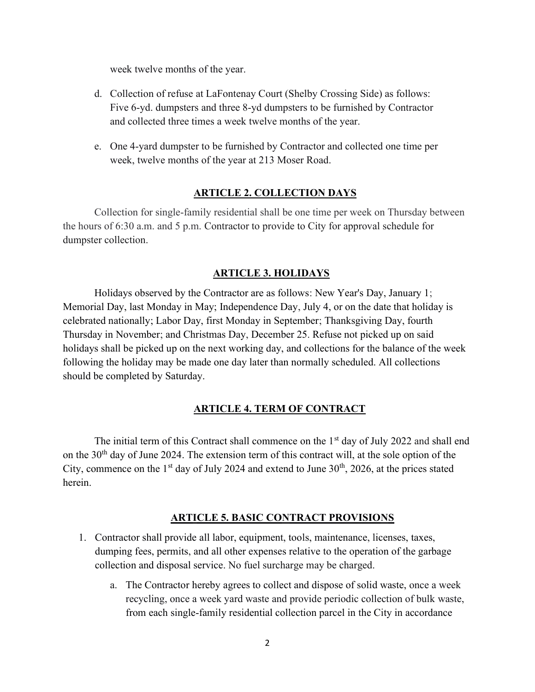week twelve months of the year.

- d. Collection of refuse at LaFontenay Court (Shelby Crossing Side) as follows: Five 6-yd. dumpsters and three 8-yd dumpsters to be furnished by Contractor and collected three times a week twelve months of the year.
- e. One 4-yard dumpster to be furnished by Contractor and collected one time per week, twelve months of the year at 213 Moser Road.

## ARTICLE 2. COLLECTION DAYS

Collection for single-family residential shall be one time per week on Thursday between the hours of 6:30 a.m. and 5 p.m. Contractor to provide to City for approval schedule for dumpster collection.

#### ARTICLE 3. HOLIDAYS

Holidays observed by the Contractor are as follows: New Year's Day, January 1; Memorial Day, last Monday in May; Independence Day, July 4, or on the date that holiday is celebrated nationally; Labor Day, first Monday in September; Thanksgiving Day, fourth Thursday in November; and Christmas Day, December 25. Refuse not picked up on said holidays shall be picked up on the next working day, and collections for the balance of the week following the holiday may be made one day later than normally scheduled. All collections should be completed by Saturday.

### ARTICLE 4. TERM OF CONTRACT

The initial term of this Contract shall commence on the  $1<sup>st</sup>$  day of July 2022 and shall end on the  $30<sup>th</sup>$  day of June 2024. The extension term of this contract will, at the sole option of the City, commence on the  $1<sup>st</sup>$  day of July 2024 and extend to June 30<sup>th</sup>, 2026, at the prices stated herein.

#### ARTICLE 5. BASIC CONTRACT PROVISIONS

- 1. Contractor shall provide all labor, equipment, tools, maintenance, licenses, taxes, dumping fees, permits, and all other expenses relative to the operation of the garbage collection and disposal service. No fuel surcharge may be charged.
	- a. The Contractor hereby agrees to collect and dispose of solid waste, once a week recycling, once a week yard waste and provide periodic collection of bulk waste, from each single-family residential collection parcel in the City in accordance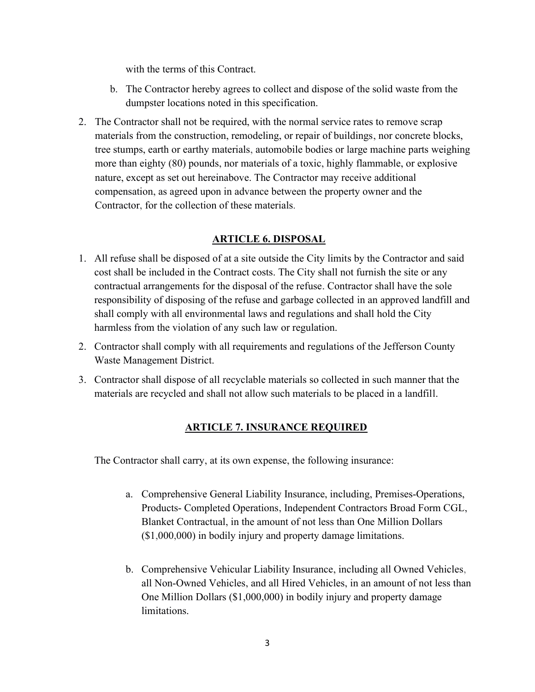with the terms of this Contract.

- b. The Contractor hereby agrees to collect and dispose of the solid waste from the dumpster locations noted in this specification.
- 2. The Contractor shall not be required, with the normal service rates to remove scrap materials from the construction, remodeling, or repair of buildings, nor concrete blocks, tree stumps, earth or earthy materials, automobile bodies or large machine parts weighing more than eighty (80) pounds, nor materials of a toxic, highly flammable, or explosive nature, except as set out hereinabove. The Contractor may receive additional compensation, as agreed upon in advance between the property owner and the Contractor, for the collection of these materials.

# ARTICLE 6. DISPOSAL

- 1. All refuse shall be disposed of at a site outside the City limits by the Contractor and said cost shall be included in the Contract costs. The City shall not furnish the site or any contractual arrangements for the disposal of the refuse. Contractor shall have the sole responsibility of disposing of the refuse and garbage collected in an approved landfill and shall comply with all environmental laws and regulations and shall hold the City harmless from the violation of any such law or regulation.
- 2. Contractor shall comply with all requirements and regulations of the Jefferson County Waste Management District.
- 3. Contractor shall dispose of all recyclable materials so collected in such manner that the materials are recycled and shall not allow such materials to be placed in a landfill.

# ARTICLE 7. INSURANCE REQUIRED

The Contractor shall carry, at its own expense, the following insurance:

- a. Comprehensive General Liability Insurance, including, Premises-Operations, Products- Completed Operations, Independent Contractors Broad Form CGL, Blanket Contractual, in the amount of not less than One Million Dollars (\$1,000,000) in bodily injury and property damage limitations.
- b. Comprehensive Vehicular Liability Insurance, including all Owned Vehicles, all Non-Owned Vehicles, and all Hired Vehicles, in an amount of not less than One Million Dollars (\$1,000,000) in bodily injury and property damage limitations.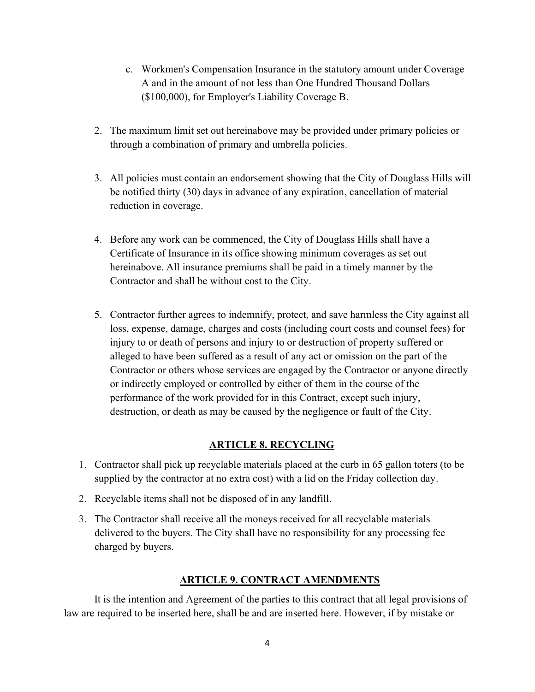- c. Workmen's Compensation Insurance in the statutory amount under Coverage A and in the amount of not less than One Hundred Thousand Dollars (\$100,000), for Employer's Liability Coverage B.
- 2. The maximum limit set out hereinabove may be provided under primary policies or through a combination of primary and umbrella policies.
- 3. All policies must contain an endorsement showing that the City of Douglass Hills will be notified thirty (30) days in advance of any expiration, cancellation of material reduction in coverage.
- 4. Before any work can be commenced, the City of Douglass Hills shall have a Certificate of Insurance in its office showing minimum coverages as set out hereinabove. All insurance premiums shall be paid in a timely manner by the Contractor and shall be without cost to the City.
- 5. Contractor further agrees to indemnify, protect, and save harmless the City against all loss, expense, damage, charges and costs (including court costs and counsel fees) for injury to or death of persons and injury to or destruction of property suffered or alleged to have been suffered as a result of any act or omission on the part of the Contractor or others whose services are engaged by the Contractor or anyone directly or indirectly employed or controlled by either of them in the course of the performance of the work provided for in this Contract, except such injury, destruction, or death as may be caused by the negligence or fault of the City.

# ARTICLE 8. RECYCLING

- 1. Contractor shall pick up recyclable materials placed at the curb in 65 gallon toters (to be supplied by the contractor at no extra cost) with a lid on the Friday collection day.
- 2. Recyclable items shall not be disposed of in any landfill.
- 3. The Contractor shall receive all the moneys received for all recyclable materials delivered to the buyers. The City shall have no responsibility for any processing fee charged by buyers.

# ARTICLE 9. CONTRACT AMENDMENTS

It is the intention and Agreement of the parties to this contract that all legal provisions of law are required to be inserted here, shall be and are inserted here. However, if by mistake or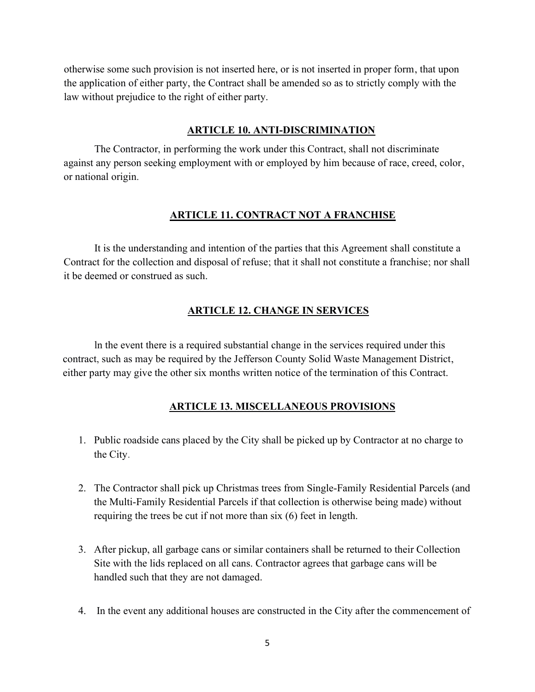otherwise some such provision is not inserted here, or is not inserted in proper form, that upon the application of either party, the Contract shall be amended so as to strictly comply with the law without prejudice to the right of either party.

#### ARTICLE 10. ANTI-DISCRIMINATION

The Contractor, in performing the work under this Contract, shall not discriminate against any person seeking employment with or employed by him because of race, creed, color, or national origin.

#### ARTICLE 11. CONTRACT NOT A FRANCHISE

 It is the understanding and intention of the parties that this Agreement shall constitute a Contract for the collection and disposal of refuse; that it shall not constitute a franchise; nor shall it be deemed or construed as such.

## ARTICLE 12. CHANGE IN SERVICES

ln the event there is a required substantial change in the services required under this contract, such as may be required by the Jefferson County Solid Waste Management District, either party may give the other six months written notice of the termination of this Contract.

#### ARTICLE 13. MISCELLANEOUS PROVISIONS

- 1. Public roadside cans placed by the City shall be picked up by Contractor at no charge to the City.
- 2. The Contractor shall pick up Christmas trees from Single-Family Residential Parcels (and the Multi-Family Residential Parcels if that collection is otherwise being made) without requiring the trees be cut if not more than six (6) feet in length.
- 3. After pickup, all garbage cans or similar containers shall be returned to their Collection Site with the lids replaced on all cans. Contractor agrees that garbage cans will be handled such that they are not damaged.
- 4. In the event any additional houses are constructed in the City after the commencement of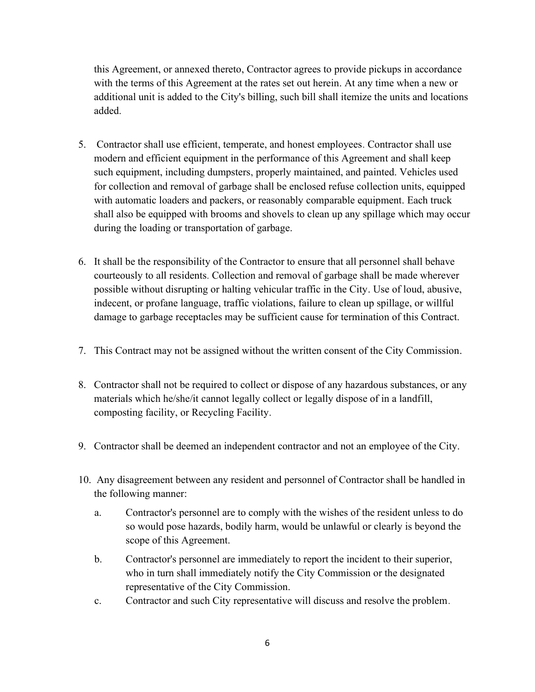this Agreement, or annexed thereto, Contractor agrees to provide pickups in accordance with the terms of this Agreement at the rates set out herein. At any time when a new or additional unit is added to the City's billing, such bill shall itemize the units and locations added.

- 5. Contractor shall use efficient, temperate, and honest employees. Contractor shall use modern and efficient equipment in the performance of this Agreement and shall keep such equipment, including dumpsters, properly maintained, and painted. Vehicles used for collection and removal of garbage shall be enclosed refuse collection units, equipped with automatic loaders and packers, or reasonably comparable equipment. Each truck shall also be equipped with brooms and shovels to clean up any spillage which may occur during the loading or transportation of garbage.
- 6. It shall be the responsibility of the Contractor to ensure that all personnel shall behave courteously to all residents. Collection and removal of garbage shall be made wherever possible without disrupting or halting vehicular traffic in the City. Use of loud, abusive, indecent, or profane language, traffic violations, failure to clean up spillage, or willful damage to garbage receptacles may be sufficient cause for termination of this Contract.
- 7. This Contract may not be assigned without the written consent of the City Commission.
- 8. Contractor shall not be required to collect or dispose of any hazardous substances, or any materials which he/she/it cannot legally collect or legally dispose of in a landfill, composting facility, or Recycling Facility.
- 9. Contractor shall be deemed an independent contractor and not an employee of the City.
- 10. Any disagreement between any resident and personnel of Contractor shall be handled in the following manner:
	- a. Contractor's personnel are to comply with the wishes of the resident unless to do so would pose hazards, bodily harm, would be unlawful or clearly is beyond the scope of this Agreement.
	- b. Contractor's personnel are immediately to report the incident to their superior, who in turn shall immediately notify the City Commission or the designated representative of the City Commission.
	- c. Contractor and such City representative will discuss and resolve the problem.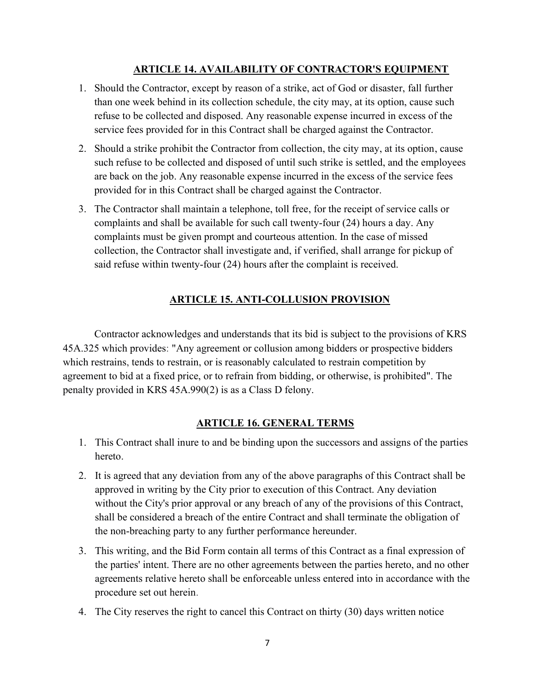## ARTICLE 14. AVAILABILITY OF CONTRACTOR'S EQUIPMENT

- 1. Should the Contractor, except by reason of a strike, act of God or disaster, fall further than one week behind in its collection schedule, the city may, at its option, cause such refuse to be collected and disposed. Any reasonable expense incurred in excess of the service fees provided for in this Contract shall be charged against the Contractor.
- 2. Should a strike prohibit the Contractor from collection, the city may, at its option, cause such refuse to be collected and disposed of until such strike is settled, and the employees are back on the job. Any reasonable expense incurred in the excess of the service fees provided for in this Contract shall be charged against the Contractor.
- 3. The Contractor shall maintain a telephone, toll free, for the receipt of service calls or complaints and shall be available for such call twenty-four (24) hours a day. Any complaints must be given prompt and courteous attention. In the case of missed collection, the Contractor shall investigate and, if verified, shall arrange for pickup of said refuse within twenty-four (24) hours after the complaint is received.

# ARTICLE 15. ANTI-COLLUSION PROVISION

Contractor acknowledges and understands that its bid is subject to the provisions of KRS 45A.325 which provides: "Any agreement or collusion among bidders or prospective bidders which restrains, tends to restrain, or is reasonably calculated to restrain competition by agreement to bid at a fixed price, or to refrain from bidding, or otherwise, is prohibited". The penalty provided in KRS 45A.990(2) is as a Class D felony.

### ARTICLE 16. GENERAL TERMS

- 1. This Contract shall inure to and be binding upon the successors and assigns of the parties hereto.
- 2. It is agreed that any deviation from any of the above paragraphs of this Contract shall be approved in writing by the City prior to execution of this Contract. Any deviation without the City's prior approval or any breach of any of the provisions of this Contract, shall be considered a breach of the entire Contract and shall terminate the obligation of the non-breaching party to any further performance hereunder.
- 3. This writing, and the Bid Form contain all terms of this Contract as a final expression of the parties' intent. There are no other agreements between the parties hereto, and no other agreements relative hereto shall be enforceable unless entered into in accordance with the procedure set out herein.
- 4. The City reserves the right to cancel this Contract on thirty (30) days written notice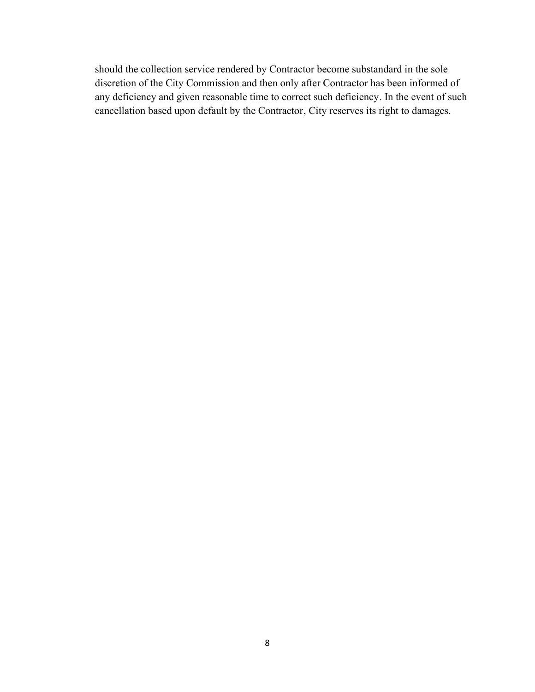should the collection service rendered by Contractor become substandard in the sole discretion of the City Commission and then only after Contractor has been informed of any deficiency and given reasonable time to correct such deficiency. In the event of such cancellation based upon default by the Contractor, City reserves its right to damages.